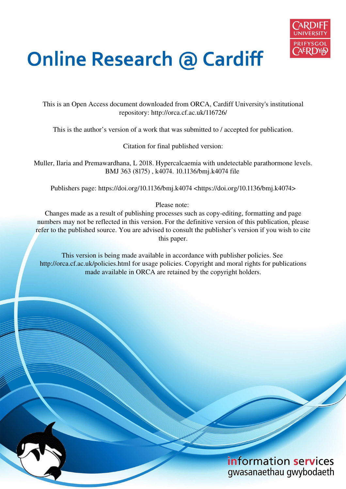

# **Online Research @ Cardiff**

This is an Open Access document downloaded from ORCA, Cardiff University's institutional repository: http://orca.cf.ac.uk/116726/

This is the author's version of a work that was submitted to / accepted for publication.

Citation for final published version:

Muller, Ilaria and Premawardhana, L 2018. Hypercalcaemia with undetectable parathormone levels. BMJ 363 (8175) , k4074. 10.1136/bmj.k4074 file

Publishers page: https://doi.org/10.1136/bmj.k4074 <https://doi.org/10.1136/bmj.k4074>

Please note:

Changes made as a result of publishing processes such as copy-editing, formatting and page numbers may not be reflected in this version. For the definitive version of this publication, please refer to the published source. You are advised to consult the publisher's version if you wish to cite this paper.

This version is being made available in accordance with publisher policies. See http://orca.cf.ac.uk/policies.html for usage policies. Copyright and moral rights for publications made available in ORCA are retained by the copyright holders.

# information services gwasanaethau gwybodaeth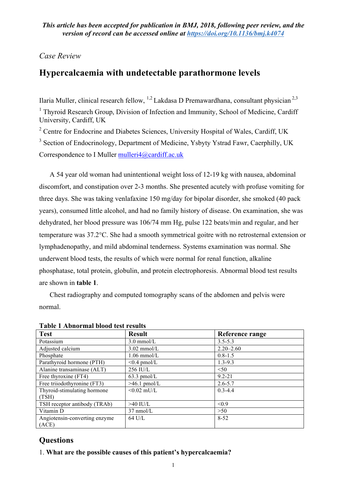# *Case Review*

# **Hypercalcaemia with undetectable parathormone levels**

Ilaria Muller, clinical research fellow, <sup>1,2</sup> Lakdasa D Premawardhana, consultant physician<sup>2,3</sup> <sup>1</sup> Thyroid Research Group, Division of Infection and Immunity, School of Medicine, Cardiff University, Cardiff, UK

<sup>2</sup> Centre for Endocrine and Diabetes Sciences, University Hospital of Wales, Cardiff, UK

<sup>3</sup> Section of Endocrinology, Department of Medicine, Ysbyty Ystrad Fawr, Caerphilly, UK Correspondence to I Muller mulleri4@cardiff.ac.uk

A 54 year old woman had unintentional weight loss of 12-19 kg with nausea, abdominal discomfort, and constipation over 2-3 months. She presented acutely with profuse vomiting for three days. She was taking venlafaxine 150 mg/day for bipolar disorder, she smoked (40 pack years), consumed little alcohol, and had no family history of disease. On examination, she was dehydrated, her blood pressure was 106/74 mm Hg, pulse 122 beats/min and regular, and her temperature was 37.2°C. She had a smooth symmetrical goitre with no retrosternal extension or lymphadenopathy, and mild abdominal tenderness. Systems examination was normal. She underwent blood tests, the results of which were normal for renal function, alkaline phosphatase, total protein, globulin, and protein electrophoresis. Abnormal blood test results are shown in **table 1**.

Chest radiography and computed tomography scans of the abdomen and pelvis were normal.

| <b>Test</b>                   | <b>Result</b>       | Reference range |
|-------------------------------|---------------------|-----------------|
| Potassium                     | $3.0$ mmol/L        | $3.5 - 5.3$     |
| Adjusted calcium              | $3.02$ mmol/L       | $2.20 - 2.60$   |
| Phosphate                     | $1.06$ mmol/L       | $0.8 - 1.5$     |
| Parathyroid hormone (PTH)     | $\leq 0.4$ pmol/L   | $1.3 - 9.3$     |
| Alanine transaminase (ALT)    | 256 IU/L            | < 50            |
| Free thyroxine (FT4)          | $63.3$ pmol/L       | $9.2 - 21$      |
| Free triiodothyronine (FT3)   | $>46.1$ pmol/L      | $2.6 - 5.7$     |
| Thyroid-stimulating hormone   | $< 0.02$ mU/L       | $0.3 - 4.4$     |
| (TSH)                         |                     |                 |
| TSH receptor antibody (TRAb)  | $>40$ IU/L          | < 0.9           |
| Vitamin D                     | $37 \text{ nmol/L}$ | >50             |
| Angiotensin-converting enzyme | 64 U/L              | $8 - 52$        |
| (ACE)                         |                     |                 |

**Table 1 Abnormal blood test results** 

# **Questions**

1. **What are the possible causes of this patient's hypercalcaemia?**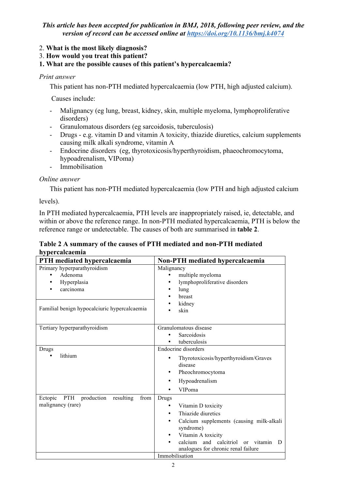# 2. **What is the most likely diagnosis?**

3. **How would you treat this patient?** 

# **1. What are the possible causes of this patient's hypercalcaemia?**

## *Print answer*

This patient has non-PTH mediated hypercalcaemia (low PTH, high adjusted calcium).

Causes include:

- Malignancy (eg lung, breast, kidney, skin, multiple myeloma, lymphoproliferative disorders)
- Granulomatous disorders (eg sarcoidosis, tuberculosis)
- Drugs e.g. vitamin D and vitamin A toxicity, thiazide diuretics, calcium supplements causing milk alkali syndrome, vitamin A
- Endocrine disorders (eg, thyrotoxicosis/hyperthyroidism, phaeochromocytoma, hypoadrenalism, VIPoma)
- Immobilisation

# *Online answer*

This patient has non-PTH mediated hypercalcaemia (low PTH and high adjusted calcium

levels).

In PTH mediated hypercalcaemia, PTH levels are inappropriately raised, ie, detectable, and within or above the reference range. In non-PTH mediated hypercalcaemia, PTH is below the reference range or undetectable. The causes of both are summarised in **table 2**.

# **Table 2 A summary of the causes of PTH mediated and non-PTH mediated hypercalcaemia**

| PTH mediated hypercalcaemia                       | Non-PTH mediated hypercalcaemia                         |
|---------------------------------------------------|---------------------------------------------------------|
| Primary hyperparathyroidism                       | Malignancy                                              |
| Adenoma<br>$\bullet$                              | multiple myeloma                                        |
| Hyperplasia                                       | lymphoproliferative disorders<br>٠                      |
| carcinoma                                         | lung                                                    |
|                                                   | breast                                                  |
|                                                   | kidney                                                  |
| Familial benign hypocalciuric hypercalcaemia      | skin                                                    |
|                                                   |                                                         |
| Tertiary hyperparathyroidism                      | Granulomatous disease                                   |
|                                                   | Sarcoidosis                                             |
|                                                   | tuberculosis                                            |
| Drugs                                             | <b>Endocrine</b> disorders                              |
| lithium<br>$\bullet$                              | Thyrotoxicosis/hyperthyroidism/Graves                   |
|                                                   | disease                                                 |
|                                                   | Pheochromocytoma<br>٠                                   |
|                                                   | Hypoadrenalism<br>٠                                     |
|                                                   | VIPoma                                                  |
| Ectopic<br>PTH<br>production<br>resulting<br>from | Drugs                                                   |
| malignancy (rare)                                 | Vitamin D toxicity<br>٠                                 |
|                                                   | Thiazide diuretics                                      |
|                                                   | Calcium supplements (causing milk-alkali<br>٠           |
|                                                   | syndrome)                                               |
|                                                   | Vitamin A toxicity                                      |
|                                                   | calcium and calcitriol<br>vitamin<br><sub>or</sub><br>D |
|                                                   | analogues for chronic renal failure                     |
|                                                   | Immobilisation                                          |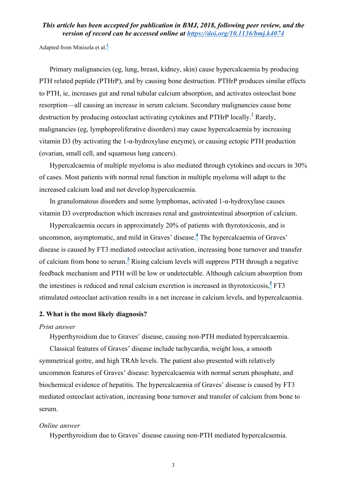Adapted from Minisola et al. $<sup>1</sup>$ </sup>

Primary malignancies (eg, lung, breast, kidney, skin) cause hypercalcaemia by producing PTH related peptide (PTHrP), and by causing bone destruction. PTHrP produces similar effects to PTH, ie, increases gut and renal tubular calcium absorption, and activates osteoclast bone resorption—all causing an increase in serum calcium. Secondary malignancies cause bone destruction by producing osteoclast activating cytokines and PTHrP locally.<sup>2</sup> Rarely, malignancies (eg, lymphoproliferative disorders) may cause hypercalcaemia by increasing vitamin D3 (by activating the 1-α-hydroxylase enzyme), or causing ectopic PTH production (ovarian, small cell, and squamous lung cancers).

Hypercalcaemia of multiple myeloma is also mediated through cytokines and occurs in 30% of cases. Most patients with normal renal function in multiple myeloma will adapt to the increased calcium load and not develop hypercalcaemia.

In granulomatous disorders and some lymphomas, activated 1-α-hydroxylase causes vitamin D3 overproduction which increases renal and gastrointestinal absorption of calcium.

Hypercalcaemia occurs in approximately 20% of patients with thyrotoxicosis, and is uncommon, asymptomatic, and mild in Graves' disease.<sup>4</sup> The hypercalcaemia of Graves' disease is caused by FT3 mediated osteoclast activation, increasing bone turnover and transfer of calcium from bone to serum.<sup>3</sup> Rising calcium levels will suppress PTH through a negative feedback mechanism and PTH will be low or undetectable. Although calcium absorption from the intestines is reduced and renal calcium excretion is increased in thyrotoxicosis, $5$  FT3 stimulated osteoclast activation results in a net increase in calcium levels, and hypercalcaemia.

### **2. What is the most likely diagnosis?**

#### *Print answer*

Hyperthyroidism due to Graves' disease, causing non-PTH mediated hypercalcaemia.

Classical features of Graves' disease include tachycardia, weight loss, a smooth symmetrical goitre, and high TRAb levels. The patient also presented with relatively uncommon features of Graves' disease: hypercalcaemia with normal serum phosphate, and biochemical evidence of hepatitis. The hypercalcaemia of Graves' disease is caused by FT3 mediated osteoclast activation, increasing bone turnover and transfer of calcium from bone to serum.

#### *Online answer*

Hyperthyroidism due to Graves' disease causing non-PTH mediated hypercalcaemia.

3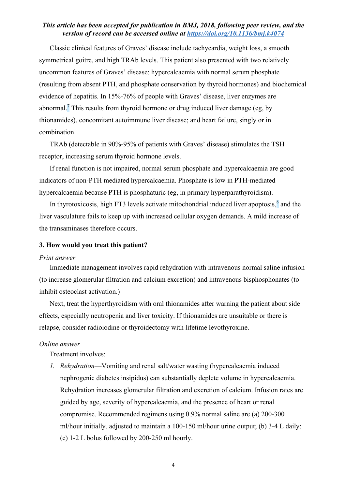Classic clinical features of Graves' disease include tachycardia, weight loss, a smooth symmetrical goitre, and high TRAb levels. This patient also presented with two relatively uncommon features of Graves' disease: hypercalcaemia with normal serum phosphate (resulting from absent PTH, and phosphate conservation by thyroid hormones) and biochemical evidence of hepatitis. In 15%-76% of people with Graves' disease, liver enzymes are abnormal.<sup>7</sup> This results from thyroid hormone or drug induced liver damage (eg, by thionamides), concomitant autoimmune liver disease; and heart failure, singly or in combination.

TRAb (detectable in 90%-95% of patients with Graves' disease) stimulates the TSH receptor, increasing serum thyroid hormone levels.

If renal function is not impaired, normal serum phosphate and hypercalcaemia are good indicators of non-PTH mediated hypercalcaemia. Phosphate is low in PTH-mediated hypercalcaemia because PTH is phosphaturic (eg, in primary hyperparathyroidism).

In thyrotoxicosis, high FT3 levels activate mitochondrial induced liver apoptosis, $\frac{8}{3}$  and the liver vasculature fails to keep up with increased cellular oxygen demands. A mild increase of the transaminases therefore occurs.

## **3. How would you treat this patient?**

#### *Print answer*

Immediate management involves rapid rehydration with intravenous normal saline infusion (to increase glomerular filtration and calcium excretion) and intravenous bisphosphonates (to inhibit osteoclast activation.)

Next, treat the hyperthyroidism with oral thionamides after warning the patient about side effects, especially neutropenia and liver toxicity. If thionamides are unsuitable or there is relapse, consider radioiodine or thyroidectomy with lifetime levothyroxine.

#### *Online answer*

Treatment involves:

*1. Rehydration*—Vomiting and renal salt/water wasting (hypercalcaemia induced nephrogenic diabetes insipidus) can substantially deplete volume in hypercalcaemia. Rehydration increases glomerular filtration and excretion of calcium. Infusion rates are guided by age, severity of hypercalcaemia, and the presence of heart or renal compromise. Recommended regimens using 0.9% normal saline are (a) 200-300 ml/hour initially, adjusted to maintain a 100-150 ml/hour urine output; (b) 3-4 L daily; (c) 1-2 L bolus followed by 200-250 ml hourly.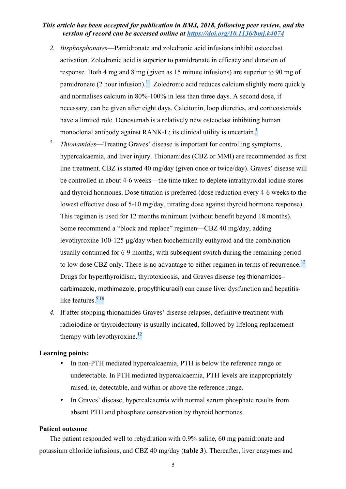- *2. Bisphosphonates*—Pamidronate and zoledronic acid infusions inhibit osteoclast activation. Zoledronic acid is superior to pamidronate in efficacy and duration of response. Both 4 mg and 8 mg (given as 15 minute infusions) are superior to 90 mg of pamidronate (2 hour infusion).<sup>11</sup> Zoledronic acid reduces calcium slightly more quickly and normalises calcium in 80%-100% in less than three days. A second dose, if necessary, can be given after eight days. Calcitonin, loop diuretics, and corticosteroids have a limited role. Denosumab is a relatively new osteoclast inhibiting human monoclonal antibody against RANK-L; its clinical utility is uncertain.<sup>1</sup>
- *3. Thionamides*—Treating Graves' disease is important for controlling symptoms, hypercalcaemia, and liver injury. Thionamides (CBZ or MMI) are recommended as first line treatment. CBZ is started 40 mg/day (given once or twice/day). Graves' disease will be controlled in about 4-6 weeks—the time taken to deplete intrathyroidal iodine stores and thyroid hormones. Dose titration is preferred (dose reduction every 4-6 weeks to the lowest effective dose of 5-10 mg/day, titrating dose against thyroid hormone response). This regimen is used for 12 months minimum (without benefit beyond 18 months). Some recommend a "block and replace" regimen—CBZ 40 mg/day, adding levothyroxine 100-125 µg/day when biochemically euthyroid and the combination usually continued for 6-9 months, with subsequent switch during the remaining period to low dose CBZ only. There is no advantage to either regimen in terms of recurrence.<sup>12</sup> Drugs for hyperthyroidism, thyrotoxicosis, and Graves disease (eg thionamides– carbimazole, methimazole, propylthiouracil) can cause liver dysfunction and hepatitislike features.<sup>9 10</sup>
- *4.* If after stopping thionamides Graves' disease relapses, definitive treatment with radioiodine or thyroidectomy is usually indicated, followed by lifelong replacement therapy with levothyroxine.<sup>12</sup>

#### **Learning points:**

- In non-PTH mediated hypercalcaemia, PTH is below the reference range or undetectable. In PTH mediated hypercalcaemia, PTH levels are inappropriately raised, ie, detectable, and within or above the reference range.
- In Graves' disease, hypercalcaemia with normal serum phosphate results from absent PTH and phosphate conservation by thyroid hormones.

#### **Patient outcome**

The patient responded well to rehydration with 0.9% saline, 60 mg pamidronate and potassium chloride infusions, and CBZ 40 mg/day (**table 3**). Thereafter, liver enzymes and

5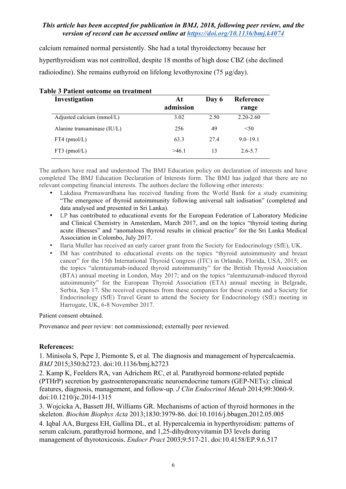calcium remained normal persistently. She had a total thyroidectomy because her hyperthyroidism was not controlled, despite 18 months of high dose CBZ (she declined radioiodine). She remains euthyroid on lifelong levothyroxine (75 µg/day).

| Investigation               | At<br>admission | Day 6 | Reference<br>range |  |
|-----------------------------|-----------------|-------|--------------------|--|
| Adjusted calcium (mmol/L)   | 3.02            | 2.50  | $2.20 - 2.60$      |  |
| Alanine transaminase (IU/L) | 256             | 49    | < 50               |  |
| $FT4$ (pmol/L)              | 63.3            | 27.4  | $9.0 - 19.1$       |  |
| $FT3$ (pmol/L)              | >46.1           | 13    | $2.6 - 5.7$        |  |
|                             |                 |       |                    |  |

|  |  | <b>Table 3 Patient outcome on treatment</b> |
|--|--|---------------------------------------------|
|  |  |                                             |

The authors have read and understood The BMJ Education policy on declaration of interests and have completed The BMJ Education Declaration of Interests form. The BMJ has judged that there are no relevant competing financial interests. The authors declare the following other interests:

- Lakdasa Premawardhana has received funding from the World Bank for a study examining "The emergence of thyroid autoimmunity following universal salt iodisation" (completed and data analysed and presented in Sri Lanka).
- LP has contributed to educational events for the European Federation of Laboratory Medicine and Clinical Chemistry in Amsterdam, March 2017, and on the topics "thyroid testing during acute illnesses" and "anomalous thyroid results in clinical practice" for the Sri Lanka Medical Association in Colombo, July 2017.
- Ilaria Muller has received an early career grant from the Society for Endocrinology (SfE), UK.
- IM has contributed to educational events on the topics "thyroid autoimmunity and breast cancer" for the 15th International Thyroid Congress (ITC) in Orlando, Florida, USA, 2015; on the topics "alemtuzumab-induced thyroid autoimmunity" for the British Thyroid Association (BTA) annual meeting in London, May 2017; and on the topics "alemtuzumab-induced thyroid autoimmunity" for the European Thyroid Association (ETA) annual meeting in Belgrade, Serbia, Sep 17. She received expenses from these companies for these events and a Society for Endocrinology (SfE) Travel Grant to attend the Society for Endocrinology (SfE) meeting in Harrogate, UK, 6-8 November 2017.

Patient consent obtained.

Provenance and peer review: not commissioned; externally peer reviewed.

# **References:**

1. Minisola S, Pepe J, Piemonte S, et al. The diagnosis and management of hypercalcaemia. *BMJ* 2015;350:h2723. doi:10.1136/bmj.h2723

2. Kamp K, Feelders RA, van Adrichem RC, et al. Parathyroid hormone-related peptide (PTHrP) secretion by gastroenteropancreatic neuroendocrine tumors (GEP-NETs): clinical features, diagnosis, management, and follow-up. *J Clin Endocrinol Metab* 2014;99:3060-9. doi:10.1210/jc.2014-1315

3. Wojcicka A, Bassett JH, Williams GR. Mechanisms of action of thyroid hormones in the skeleton. *Biochim Biophys Acta* 2013;1830:3979-86. doi:10.1016/j.bbagen.2012.05.005 4. Iqbal AA, Burgess EH, Gallina DL, et al. Hypercalcemia in hyperthyroidism: patterns of serum calcium, parathyroid hormone, and 1,25-dihydroxyvitamin D3 levels during management of thyrotoxicosis. *Endocr Pract* 2003;9:517-21. doi:10.4158/EP.9.6.517